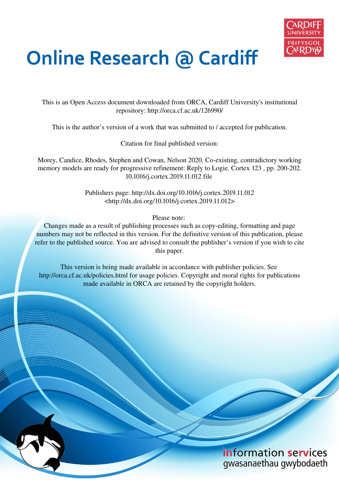

# **Online Research @ Cardiff**

This is an Open Access document downloaded from ORCA, Cardiff University's institutional repository: http://orca.cf.ac.uk/126990/

This is the author's version of a work that was submitted to / accepted for publication.

Citation for final published version:

Morey, Candice, Rhodes, Stephen and Cowan, Nelson 2020. Co-existing, contradictory working memory models are ready for progressive refinement: Reply to Logie. Cortex 123 , pp. 200-202. 10.1016/j.cortex.2019.11.012 file

> Publishers page: http://dx.doi.org/10.1016/j.cortex.2019.11.012 <http://dx.doi.org/10.1016/j.cortex.2019.11.012>

> > Please note:

Changes made as a result of publishing processes such as copy-editing, formatting and page numbers may not be reflected in this version. For the definitive version of this publication, please refer to the published source. You are advised to consult the publisher's version if you wish to cite this paper.

This version is being made available in accordance with publisher policies. See http://orca.cf.ac.uk/policies.html for usage policies. Copyright and moral rights for publications made available in ORCA are retained by the copyright holders.

## information services gwasanaethau gwybodaeth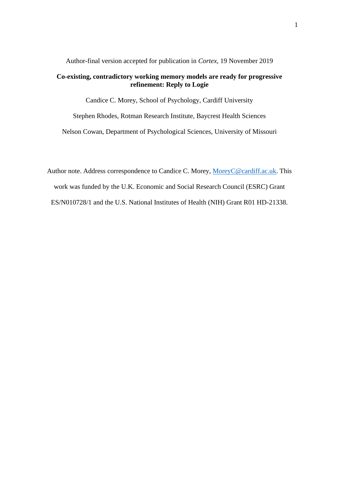Author-final version accepted for publication in *Cortex*, 19 November 2019

### **Co-existing, contradictory working memory models are ready for progressive refinement: Reply to Logie**

Candice C. Morey, School of Psychology, Cardiff University

Stephen Rhodes, Rotman Research Institute, Baycrest Health Sciences

Nelson Cowan, Department of Psychological Sciences, University of Missouri

Author note. Address correspondence to Candice C. Morey, [MoreyC@cardiff.ac.uk.](mailto:MoreyC@cardiff.ac.uk) This work was funded by the U.K. Economic and Social Research Council (ESRC) Grant ES/N010728/1 and the U.S. National Institutes of Health (NIH) Grant R01 HD-21338.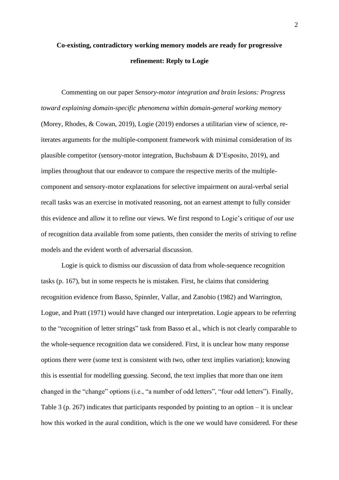## **Co-existing, contradictory working memory models are ready for progressive refinement: Reply to Logie**

Commenting on our paper *Sensory-motor integration and brain lesions: Progress toward explaining domain-specific phenomena within domain-general working memory*  (Morey, Rhodes, & Cowan, 2019), Logie (2019) endorses a utilitarian view of science, reiterates arguments for the multiple-component framework with minimal consideration of its plausible competitor (sensory-motor integration, Buchsbaum & D'Esposito, 2019), and implies throughout that our endeavor to compare the respective merits of the multiplecomponent and sensory-motor explanations for selective impairment on aural-verbal serial recall tasks was an exercise in motivated reasoning, not an earnest attempt to fully consider this evidence and allow it to refine our views. We first respond to Logie's critique of our use of recognition data available from some patients, then consider the merits of striving to refine models and the evident worth of adversarial discussion.

 Logie is quick to dismiss our discussion of data from whole-sequence recognition tasks (p. 167), but in some respects he is mistaken. First, he claims that considering recognition evidence from Basso, Spinnler, Vallar, and Zanobio (1982) and Warrington, Logue, and Pratt (1971) would have changed our interpretation. Logie appears to be referring to the "recognition of letter strings" task from Basso et al., which is not clearly comparable to the whole-sequence recognition data we considered. First, it is unclear how many response options there were (some text is consistent with two, other text implies variation); knowing this is essential for modelling guessing. Second, the text implies that more than one item changed in the "change" options (i.e., "a number of odd letters", "four odd letters"). Finally, Table 3 (p. 267) indicates that participants responded by pointing to an option – it is unclear how this worked in the aural condition, which is the one we would have considered. For these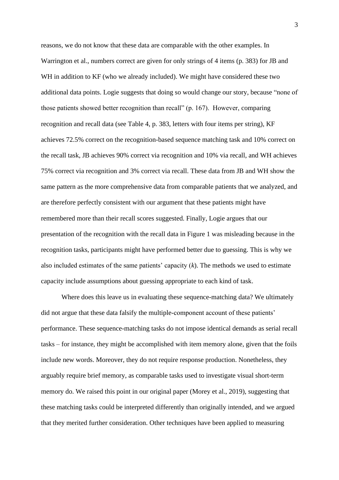reasons, we do not know that these data are comparable with the other examples. In Warrington et al., numbers correct are given for only strings of 4 items (p. 383) for JB and WH in addition to KF (who we already included). We might have considered these two additional data points. Logie suggests that doing so would change our story, because "none of those patients showed better recognition than recall" (p. 167). However, comparing recognition and recall data (see Table 4, p. 383, letters with four items per string), KF achieves 72.5% correct on the recognition-based sequence matching task and 10% correct on the recall task, JB achieves 90% correct via recognition and 10% via recall, and WH achieves 75% correct via recognition and 3% correct via recall. These data from JB and WH show the same pattern as the more comprehensive data from comparable patients that we analyzed, and are therefore perfectly consistent with our argument that these patients might have remembered more than their recall scores suggested. Finally, Logie argues that our presentation of the recognition with the recall data in Figure 1 was misleading because in the recognition tasks, participants might have performed better due to guessing. This is why we also included estimates of the same patients' capacity (*k*). The methods we used to estimate capacity include assumptions about guessing appropriate to each kind of task.

 Where does this leave us in evaluating these sequence-matching data? We ultimately did not argue that these data falsify the multiple-component account of these patients' performance. These sequence-matching tasks do not impose identical demands as serial recall tasks – for instance, they might be accomplished with item memory alone, given that the foils include new words. Moreover, they do not require response production. Nonetheless, they arguably require brief memory, as comparable tasks used to investigate visual short-term memory do. We raised this point in our original paper (Morey et al., 2019), suggesting that these matching tasks could be interpreted differently than originally intended, and we argued that they merited further consideration. Other techniques have been applied to measuring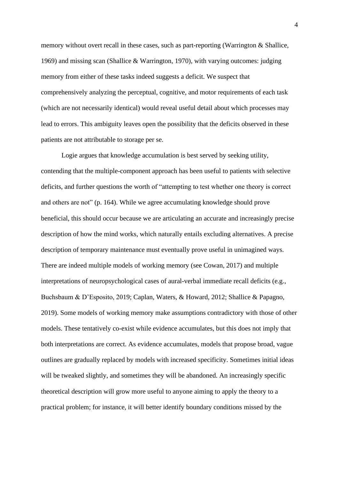memory without overt recall in these cases, such as part-reporting (Warrington & Shallice, 1969) and missing scan (Shallice & Warrington, 1970), with varying outcomes: judging memory from either of these tasks indeed suggests a deficit. We suspect that comprehensively analyzing the perceptual, cognitive, and motor requirements of each task (which are not necessarily identical) would reveal useful detail about which processes may lead to errors. This ambiguity leaves open the possibility that the deficits observed in these patients are not attributable to storage per se.

Logie argues that knowledge accumulation is best served by seeking utility, contending that the multiple-component approach has been useful to patients with selective deficits, and further questions the worth of "attempting to test whether one theory is correct and others are not" (p. 164). While we agree accumulating knowledge should prove beneficial, this should occur because we are articulating an accurate and increasingly precise description of how the mind works, which naturally entails excluding alternatives. A precise description of temporary maintenance must eventually prove useful in unimagined ways. There are indeed multiple models of working memory (see Cowan, 2017) and multiple interpretations of neuropsychological cases of aural-verbal immediate recall deficits (e.g., Buchsbaum & D'Esposito, 2019; Caplan, Waters, & Howard, 2012; Shallice & Papagno, 2019). Some models of working memory make assumptions contradictory with those of other models. These tentatively co-exist while evidence accumulates, but this does not imply that both interpretations are correct. As evidence accumulates, models that propose broad, vague outlines are gradually replaced by models with increased specificity. Sometimes initial ideas will be tweaked slightly, and sometimes they will be abandoned. An increasingly specific theoretical description will grow more useful to anyone aiming to apply the theory to a practical problem; for instance, it will better identify boundary conditions missed by the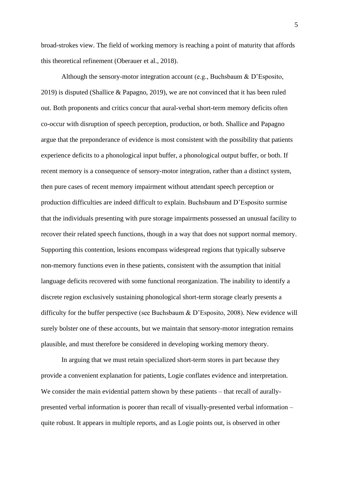broad-strokes view. The field of working memory is reaching a point of maturity that affords this theoretical refinement (Oberauer et al., 2018).

Although the sensory-motor integration account (e.g., Buchsbaum & D'Esposito, 2019) is disputed (Shallice & Papagno, 2019), we are not convinced that it has been ruled out. Both proponents and critics concur that aural-verbal short-term memory deficits often co-occur with disruption of speech perception, production, or both. Shallice and Papagno argue that the preponderance of evidence is most consistent with the possibility that patients experience deficits to a phonological input buffer, a phonological output buffer, or both. If recent memory is a consequence of sensory-motor integration, rather than a distinct system, then pure cases of recent memory impairment without attendant speech perception or production difficulties are indeed difficult to explain. Buchsbaum and D'Esposito surmise that the individuals presenting with pure storage impairments possessed an unusual facility to recover their related speech functions, though in a way that does not support normal memory. Supporting this contention, lesions encompass widespread regions that typically subserve non-memory functions even in these patients, consistent with the assumption that initial language deficits recovered with some functional reorganization. The inability to identify a discrete region exclusively sustaining phonological short-term storage clearly presents a difficulty for the buffer perspective (see Buchsbaum & D'Esposito, 2008). New evidence will surely bolster one of these accounts, but we maintain that sensory-motor integration remains plausible, and must therefore be considered in developing working memory theory.

In arguing that we must retain specialized short-term stores in part because they provide a convenient explanation for patients, Logie conflates evidence and interpretation. We consider the main evidential pattern shown by these patients – that recall of aurallypresented verbal information is poorer than recall of visually-presented verbal information – quite robust. It appears in multiple reports, and as Logie points out, is observed in other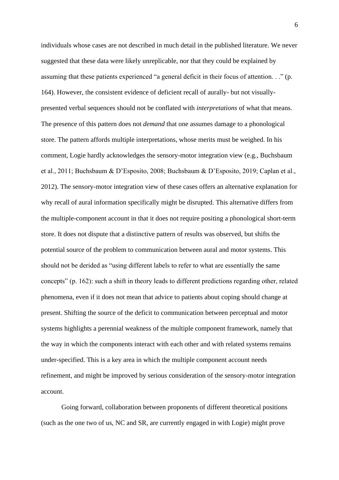individuals whose cases are not described in much detail in the published literature. We never suggested that these data were likely unreplicable, nor that they could be explained by assuming that these patients experienced "a general deficit in their focus of attention. . ." (p. 164). However, the consistent evidence of deficient recall of aurally- but not visuallypresented verbal sequences should not be conflated with *interpretations* of what that means. The presence of this pattern does not *demand* that one assumes damage to a phonological store. The pattern affords multiple interpretations, whose merits must be weighed. In his comment, Logie hardly acknowledges the sensory-motor integration view (e.g., Buchsbaum et al., 2011; Buchsbaum & D'Esposito, 2008; Buchsbaum & D'Esposito, 2019; Caplan et al., 2012). The sensory-motor integration view of these cases offers an alternative explanation for why recall of aural information specifically might be disrupted. This alternative differs from the multiple-component account in that it does not require positing a phonological short-term store. It does not dispute that a distinctive pattern of results was observed, but shifts the potential source of the problem to communication between aural and motor systems. This should not be derided as "using different labels to refer to what are essentially the same concepts" (p. 162): such a shift in theory leads to different predictions regarding other, related phenomena, even if it does not mean that advice to patients about coping should change at present. Shifting the source of the deficit to communication between perceptual and motor systems highlights a perennial weakness of the multiple component framework, namely that the way in which the components interact with each other and with related systems remains under-specified. This is a key area in which the multiple component account needs refinement, and might be improved by serious consideration of the sensory-motor integration account.

Going forward, collaboration between proponents of different theoretical positions (such as the one two of us, NC and SR, are currently engaged in with Logie) might prove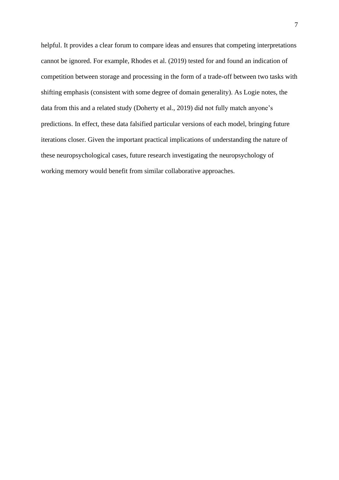helpful. It provides a clear forum to compare ideas and ensures that competing interpretations cannot be ignored. For example, Rhodes et al. (2019) tested for and found an indication of competition between storage and processing in the form of a trade-off between two tasks with shifting emphasis (consistent with some degree of domain generality). As Logie notes, the data from this and a related study (Doherty et al., 2019) did not fully match anyone's predictions. In effect, these data falsified particular versions of each model, bringing future iterations closer. Given the important practical implications of understanding the nature of these neuropsychological cases, future research investigating the neuropsychology of working memory would benefit from similar collaborative approaches.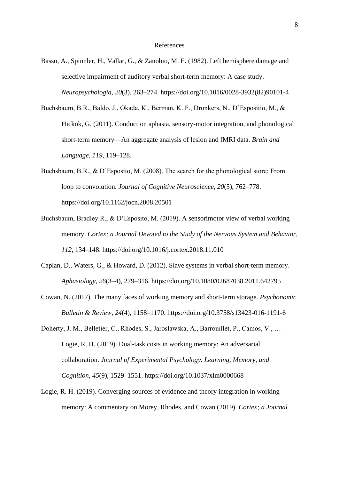#### References

- Basso, A., Spinnler, H., Vallar, G., & Zanobio, M. E. (1982). Left hemisphere damage and selective impairment of auditory verbal short-term memory: A case study. *Neuropsychologia*, *20*(3), 263–274. https://doi.org/10.1016/0028-3932(82)90101-4
- Buchsbaum, B.R., Baldo, J., Okada, K., Berman, K. F., Dronkers, N., D'Espositio, M., & Hickok, G. (2011). Conduction aphasia, sensory-motor integration, and phonological short-term memory—An aggregate analysis of lesion and fMRI data. *Brain and Language*, *119*, 119–128.
- Buchsbaum, B.R., & D'Esposito, M. (2008). The search for the phonological store: From loop to convolution. *Journal of Cognitive Neuroscience*, *20*(5), 762–778. https://doi.org/10.1162/jocn.2008.20501
- Buchsbaum, Bradley R., & D'Esposito, M. (2019). A sensorimotor view of verbal working memory. *Cortex; a Journal Devoted to the Study of the Nervous System and Behavior*, *112*, 134–148. https://doi.org/10.1016/j.cortex.2018.11.010
- Caplan, D., Waters, G., & Howard, D. (2012). Slave systems in verbal short-term memory. *Aphasiology*, *26*(3–4), 279–316. https://doi.org/10.1080/02687038.2011.642795
- Cowan, N. (2017). The many faces of working memory and short-term storage. *Psychonomic Bulletin & Review*, *24*(4), 1158–1170. https://doi.org/10.3758/s13423-016-1191-6
- Doherty, J. M., Belletier, C., Rhodes, S., Jaroslawska, A., Barrouillet, P., Camos, V., … Logie, R. H. (2019). Dual-task costs in working memory: An adversarial collaboration. *Journal of Experimental Psychology. Learning, Memory, and Cognition*, *45*(9), 1529–1551. https://doi.org/10.1037/xlm0000668
- Logie, R. H. (2019). Converging sources of evidence and theory integration in working memory: A commentary on Morey, Rhodes, and Cowan (2019). *Cortex; a Journal*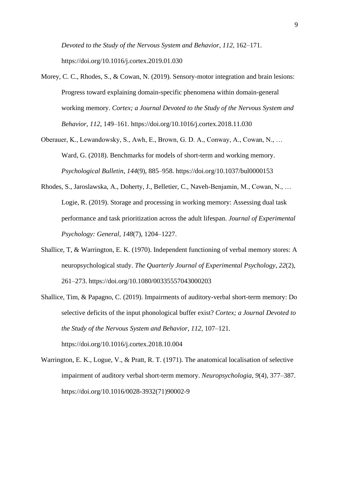*Devoted to the Study of the Nervous System and Behavior*, *112*, 162–171. https://doi.org/10.1016/j.cortex.2019.01.030

- Morey, C. C., Rhodes, S., & Cowan, N. (2019). Sensory-motor integration and brain lesions: Progress toward explaining domain-specific phenomena within domain-general working memory. *Cortex; a Journal Devoted to the Study of the Nervous System and Behavior*, *112*, 149–161. https://doi.org/10.1016/j.cortex.2018.11.030
- Oberauer, K., Lewandowsky, S., Awh, E., Brown, G. D. A., Conway, A., Cowan, N., … Ward, G. (2018). Benchmarks for models of short-term and working memory. *Psychological Bulletin*, *144*(9), 885–958. https://doi.org/10.1037/bul0000153
- Rhodes, S., Jaroslawska, A., Doherty, J., Belletier, C., Naveh-Benjamin, M., Cowan, N., … Logie, R. (2019). Storage and processing in working memory: Assessing dual task performance and task prioritization across the adult lifespan. *Journal of Experimental Psychology: General*, *148*(7), 1204–1227.
- Shallice, T, & Warrington, E. K. (1970). Independent functioning of verbal memory stores: A neuropsychological study. *The Quarterly Journal of Experimental Psychology*, *22*(2), 261–273. https://doi.org/10.1080/00335557043000203
- Shallice, Tim, & Papagno, C. (2019). Impairments of auditory-verbal short-term memory: Do selective deficits of the input phonological buffer exist? *Cortex; a Journal Devoted to the Study of the Nervous System and Behavior*, *112*, 107–121. https://doi.org/10.1016/j.cortex.2018.10.004
- Warrington, E. K., Logue, V., & Pratt, R. T. (1971). The anatomical localisation of selective impairment of auditory verbal short-term memory. *Neuropsychologia*, *9*(4), 377–387. https://doi.org/10.1016/0028-3932(71)90002-9